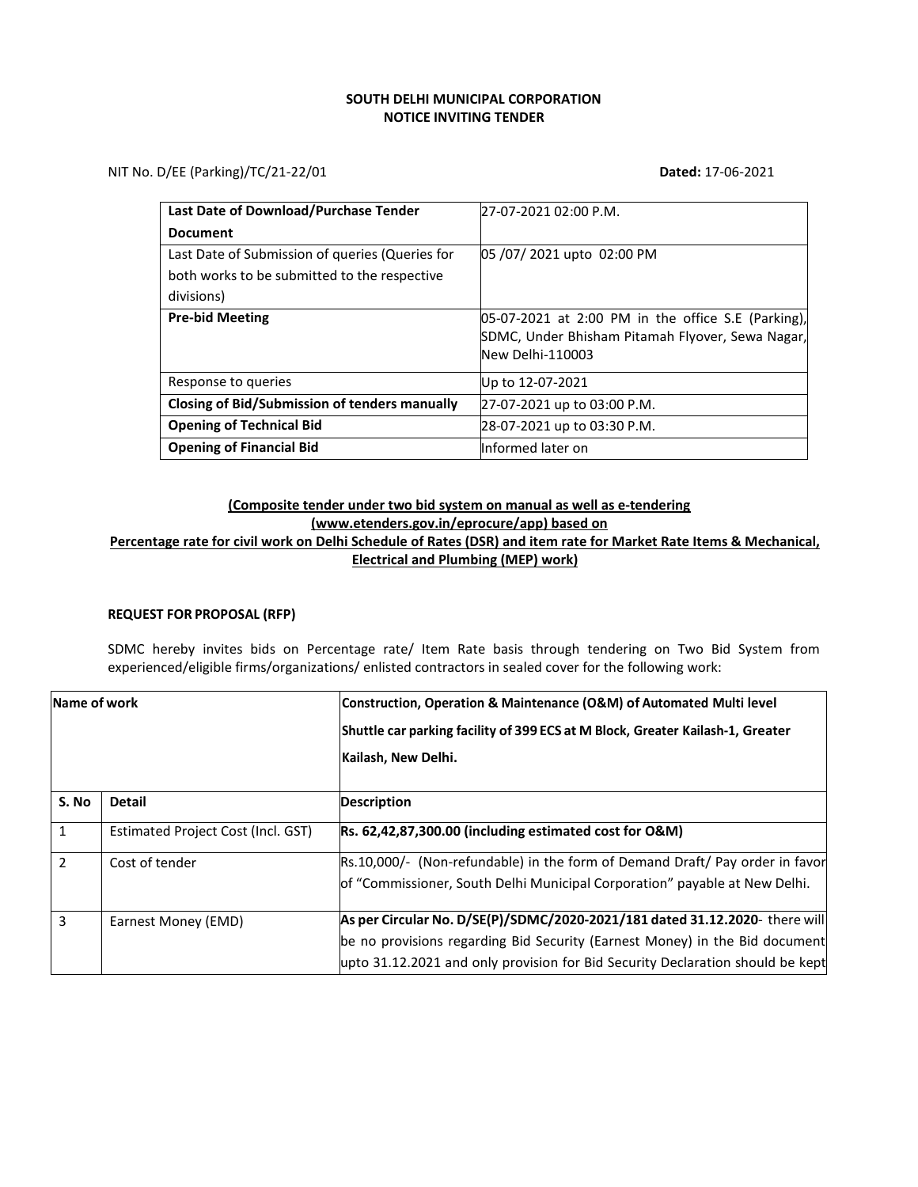# **SOUTH DELHI MUNICIPAL CORPORATION NOTICE INVITING TENDER**

NIT No. D/EE (Parking)/TC/21-22/01 **Dated:** 17-06-2021

| <b>Last Date of Download/Purchase Tender</b>         | 27-07-2021 02:00 P.M.                                                |
|------------------------------------------------------|----------------------------------------------------------------------|
| <b>Document</b>                                      |                                                                      |
| Last Date of Submission of queries (Queries for      | 05/07/2021 upto 02:00 PM                                             |
| both works to be submitted to the respective         |                                                                      |
| divisions)                                           |                                                                      |
| <b>Pre-bid Meeting</b>                               | 05-07-2021 at 2:00 PM in the office S.E (Parking),                   |
|                                                      | SDMC, Under Bhisham Pitamah Flyover, Sewa Nagar,<br>New Delhi-110003 |
| Response to queries                                  |                                                                      |
|                                                      | Up to 12-07-2021                                                     |
| <b>Closing of Bid/Submission of tenders manually</b> | 27-07-2021 up to 03:00 P.M.                                          |
| <b>Opening of Technical Bid</b>                      | 28-07-2021 up to 03:30 P.M.                                          |
| <b>Opening of Financial Bid</b>                      | Informed later on                                                    |

# **(Composite tender under two bid system on manual as well as e-tendering [\(www.etenders.gov.in/eprocure/app\)](http://www.etenders.gov.in/eprocure/app)) based on Percentage rate for civil work on Delhi Schedule of Rates (DSR) and item rate for Market Rate Items & Mechanical, Electrical and Plumbing (MEP) work)**

# **REQUEST FOR PROPOSAL (RFP)**

SDMC hereby invites bids on Percentage rate/ Item Rate basis through tendering on Two Bid System from experienced/eligible firms/organizations/ enlisted contractors in sealed cover for the following work:

| Name of work   |                                    | Construction, Operation & Maintenance (O&M) of Automated Multi level<br>Shuttle car parking facility of 399 ECS at M Block, Greater Kailash-1, Greater<br>Kailash, New Delhi.                                                                |  |
|----------------|------------------------------------|----------------------------------------------------------------------------------------------------------------------------------------------------------------------------------------------------------------------------------------------|--|
| S. No          | <b>Detail</b>                      | <b>Description</b>                                                                                                                                                                                                                           |  |
| 1              | Estimated Project Cost (Incl. GST) | Rs. 62,42,87,300.00 (including estimated cost for O&M)                                                                                                                                                                                       |  |
| $\overline{2}$ | Cost of tender                     | Rs.10,000/- (Non-refundable) in the form of Demand Draft/ Pay order in favor<br>of "Commissioner, South Delhi Municipal Corporation" payable at New Delhi.                                                                                   |  |
| 3              | Earnest Money (EMD)                | As per Circular No. D/SE(P)/SDMC/2020-2021/181 dated 31.12.2020- there will<br>be no provisions regarding Bid Security (Earnest Money) in the Bid document<br>upto 31.12.2021 and only provision for Bid Security Declaration should be kept |  |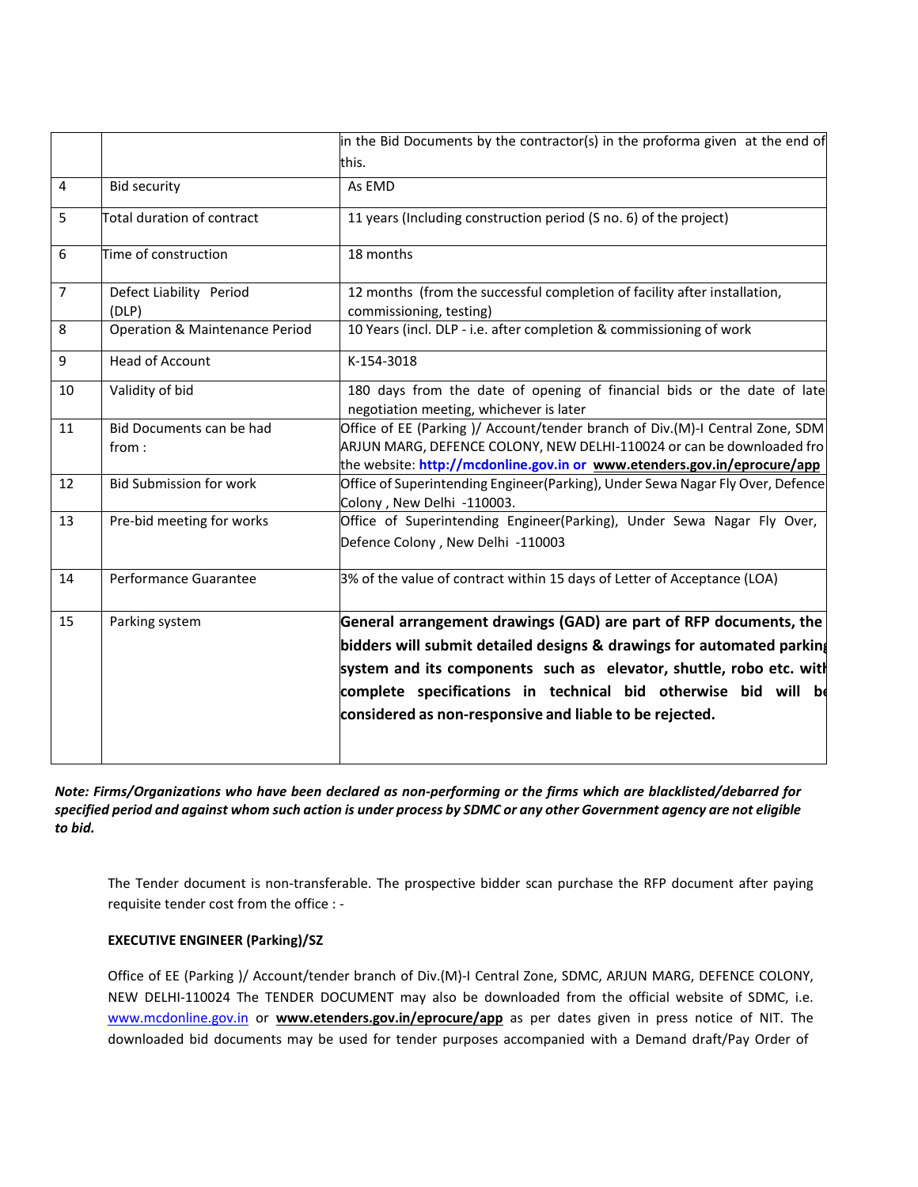|                |                                   | in the Bid Documents by the contractor(s) in the proforma given at the end of                                                                                                                                                                                                                                                                  |  |
|----------------|-----------------------------------|------------------------------------------------------------------------------------------------------------------------------------------------------------------------------------------------------------------------------------------------------------------------------------------------------------------------------------------------|--|
|                |                                   | this.                                                                                                                                                                                                                                                                                                                                          |  |
| $\overline{4}$ | <b>Bid security</b>               | As EMD                                                                                                                                                                                                                                                                                                                                         |  |
| 5              | Total duration of contract        | 11 years (Including construction period (S no. 6) of the project)                                                                                                                                                                                                                                                                              |  |
| 6              | Time of construction              | 18 months                                                                                                                                                                                                                                                                                                                                      |  |
| $\overline{7}$ | Defect Liability Period<br>(DLP)  | 12 months (from the successful completion of facility after installation,<br>commissioning, testing)                                                                                                                                                                                                                                           |  |
| 8              | Operation & Maintenance Period    | 10 Years (incl. DLP - i.e. after completion & commissioning of work                                                                                                                                                                                                                                                                            |  |
| 9              | <b>Head of Account</b>            | K-154-3018                                                                                                                                                                                                                                                                                                                                     |  |
| 10             | Validity of bid                   | 180 days from the date of opening of financial bids or the date of late<br>negotiation meeting, whichever is later                                                                                                                                                                                                                             |  |
| 11             | Bid Documents can be had<br>from: | Office of EE (Parking )/ Account/tender branch of Div.(M)-I Central Zone, SDM<br>ARJUN MARG, DEFENCE COLONY, NEW DELHI-110024 or can be downloaded fro<br>the website: http://mcdonline.gov.in or www.etenders.gov.in/eprocure/app                                                                                                             |  |
| 12             | <b>Bid Submission for work</b>    | Office of Superintending Engineer(Parking), Under Sewa Nagar Fly Over, Defence<br>Colony, New Delhi -110003.                                                                                                                                                                                                                                   |  |
| 13             | Pre-bid meeting for works         | Office of Superintending Engineer(Parking), Under Sewa Nagar Fly Over,<br>Defence Colony, New Delhi -110003                                                                                                                                                                                                                                    |  |
| 14             | Performance Guarantee             | 3% of the value of contract within 15 days of Letter of Acceptance (LOA)                                                                                                                                                                                                                                                                       |  |
| 15             | Parking system                    | General arrangement drawings (GAD) are part of RFP documents, the<br>bidders will submit detailed designs & drawings for automated parking<br>system and its components such as elevator, shuttle, robo etc. with<br>complete specifications in technical bid otherwise bid will be<br>considered as non-responsive and liable to be rejected. |  |

*Note: Firms/Organizations who have been declared as non‐performing or the firms which are blacklisted/debarred for*  specified period and against whom such action is under process by SDMC or any other Government agency are not eligible *to bid.*

The Tender document is non-transferable. The prospective bidder scan purchase the RFP document after paying requisite tender cost from the office : -

# **EXECUTIVE ENGINEER (Parking)/SZ**

Office of EE (Parking )/ Account/tender branch of Div.(M)-I Central Zone, SDMC, ARJUN MARG, DEFENCE COLONY, NEW DELHI-110024 The TENDER DOCUMENT may also be downloaded from the official website of SDMC, i.e. [www.mcdonline.gov.in](http://www.mcdonline.gov.in/) or **[www.etenders.gov.in/eprocure/app](http://www.etenders.gov.in/eprocure/app)** as per dates given in press notice of NIT. The downloaded bid documents may be used for tender purposes accompanied with a Demand draft/Pay Order of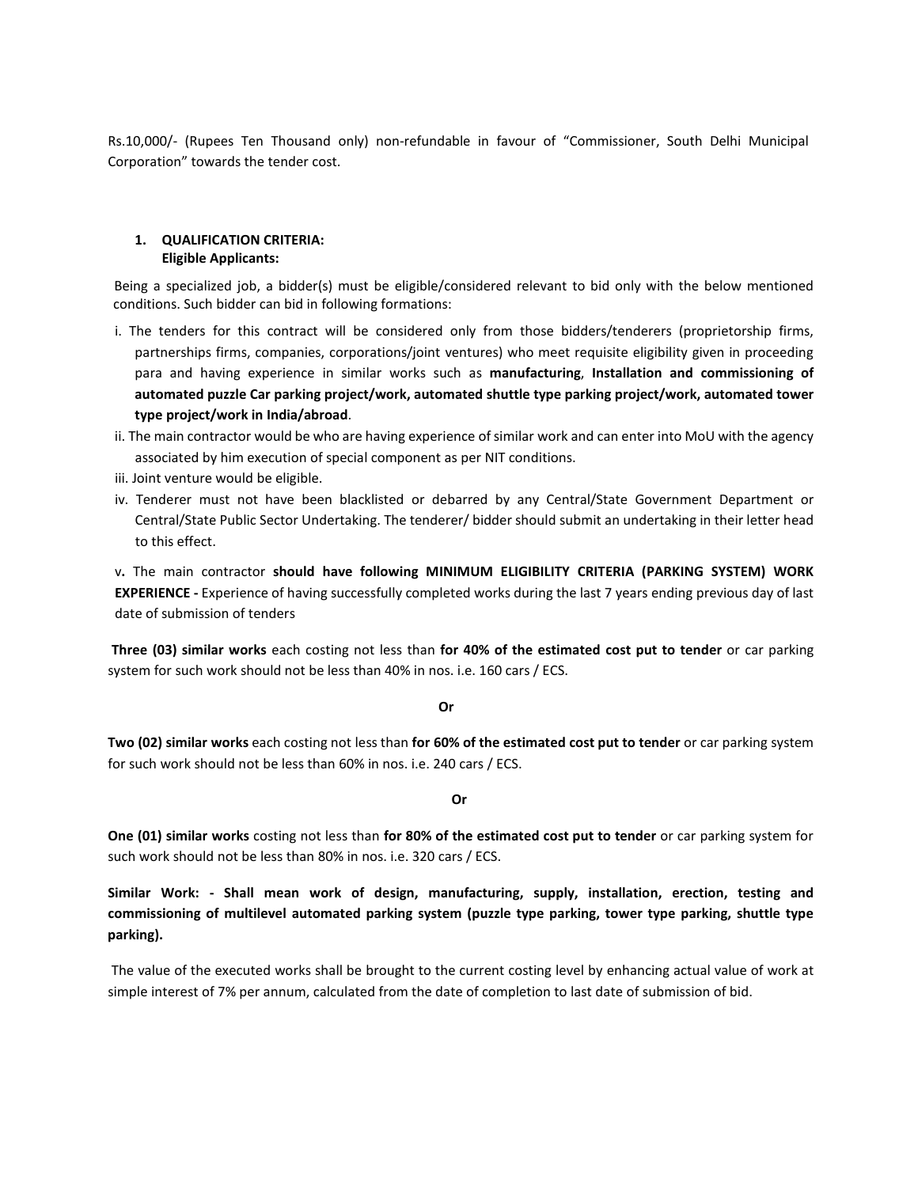Rs.10,000/- (Rupees Ten Thousand only) non-refundable in favour of "Commissioner, South Delhi Municipal Corporation" towards the tender cost.

## **1. QUALIFICATION CRITERIA: Eligible Applicants:**

Being a specialized job, a bidder(s) must be eligible/considered relevant to bid only with the below mentioned conditions. Such bidder can bid in following formations:

- i. The tenders for this contract will be considered only from those bidders/tenderers (proprietorship firms, partnerships firms, companies, corporations/joint ventures) who meet requisite eligibility given in proceeding para and having experience in similar works such as **manufacturing**, **Installation and commissioning of automated puzzle Car parking project/work, automated shuttle type parking project/work, automated tower type project/work in India/abroad**.
- ii. The main contractor would be who are having experience of similar work and can enter into MoU with the agency associated by him execution of special component as per NIT conditions.
- iii. Joint venture would be eligible.
- iv. Tenderer must not have been blacklisted or debarred by any Central/State Government Department or Central/State Public Sector Undertaking. The tenderer/ bidder should submit an undertaking in their letter head to this effect.

v**.** The main contractor **should have following MINIMUM ELIGIBILITY CRITERIA (PARKING SYSTEM) WORK EXPERIENCE -** Experience of having successfully completed works during the last 7 years ending previous day of last date of submission of tenders

**Three (03) similar works** each costing not less than **for 40% of the estimated cost put to tender** or car parking system for such work should not be less than 40% in nos. i.e. 160 cars / ECS.

#### **Or**

**Two (02) similar works** each costing not less than **for 60% of the estimated cost put to tender** or car parking system for such work should not be less than 60% in nos. i.e. 240 cars / ECS.

# **Or**

**One (01) similar works** costing not less than **for 80% of the estimated cost put to tender** or car parking system for such work should not be less than 80% in nos. i.e. 320 cars / ECS.

**Similar Work: - Shall mean work of design, manufacturing, supply, installation, erection, testing and commissioning of multilevel automated parking system (puzzle type parking, tower type parking, shuttle type parking).**

The value of the executed works shall be brought to the current costing level by enhancing actual value of work at simple interest of 7% per annum, calculated from the date of completion to last date of submission of bid.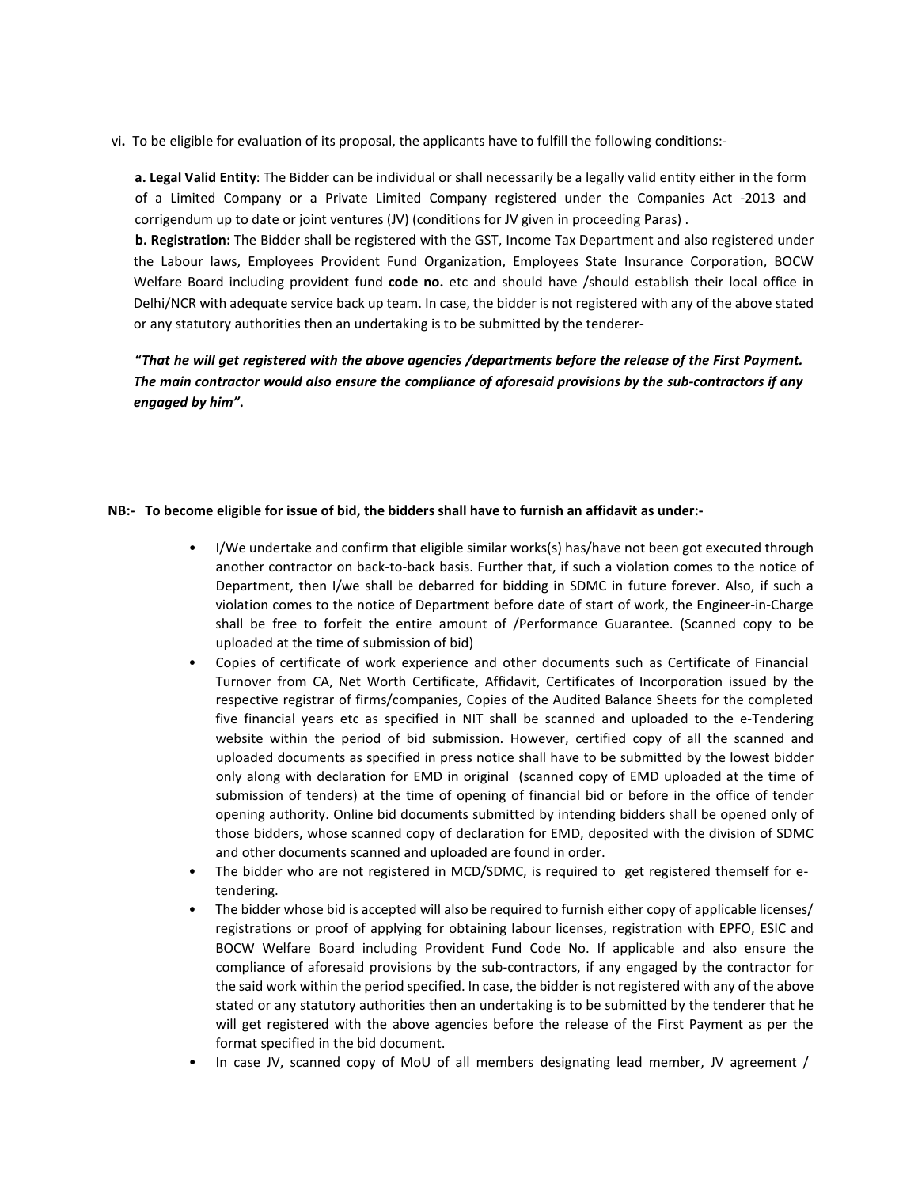vi**.** To be eligible for evaluation of its proposal, the applicants have to fulfill the following conditions:-

**a. Legal Valid Entity**: The Bidder can be individual or shall necessarily be a legally valid entity either in the form of a Limited Company or a Private Limited Company registered under the Companies Act -2013 and corrigendum up to date or joint ventures (JV) (conditions for JV given in proceeding Paras) .

**b. Registration:** The Bidder shall be registered with the GST, Income Tax Department and also registered under the Labour laws, Employees Provident Fund Organization, Employees State Insurance Corporation, BOCW Welfare Board including provident fund **code no.** etc and should have /should establish their local office in Delhi/NCR with adequate service back up team. In case, the bidder is not registered with any of the above stated or any statutory authorities then an undertaking is to be submitted by the tenderer-

**"***That he will get registered with the above agencies /departments before the release of the First Payment. The main contractor would also ensure the compliance of aforesaid provisions by the sub‐contractors if any engaged by him"***.**

## **NB:- To become eligible for issue of bid, the bidders shall have to furnish an affidavit as under:-**

- I/We undertake and confirm that eligible similar works(s) has/have not been got executed through another contractor on back-to-back basis. Further that, if such a violation comes to the notice of Department, then I/we shall be debarred for bidding in SDMC in future forever. Also, if such a violation comes to the notice of Department before date of start of work, the Engineer-in-Charge shall be free to forfeit the entire amount of /Performance Guarantee. (Scanned copy to be uploaded at the time of submission of bid)
- Copies of certificate of work experience and other documents such as Certificate of Financial Turnover from CA, Net Worth Certificate, Affidavit, Certificates of Incorporation issued by the respective registrar of firms/companies, Copies of the Audited Balance Sheets for the completed five financial years etc as specified in NIT shall be scanned and uploaded to the e-Tendering website within the period of bid submission. However, certified copy of all the scanned and uploaded documents as specified in press notice shall have to be submitted by the lowest bidder only along with declaration for EMD in original (scanned copy of EMD uploaded at the time of submission of tenders) at the time of opening of financial bid or before in the office of tender opening authority. Online bid documents submitted by intending bidders shall be opened only of those bidders, whose scanned copy of declaration for EMD, deposited with the division of SDMC and other documents scanned and uploaded are found in order.
- The bidder who are not registered in MCD/SDMC, is required to get registered themself for etendering.
- The bidder whose bid is accepted will also be required to furnish either copy of applicable licenses/ registrations or proof of applying for obtaining labour licenses, registration with EPFO, ESIC and BOCW Welfare Board including Provident Fund Code No. If applicable and also ensure the compliance of aforesaid provisions by the sub-contractors, if any engaged by the contractor for the said work within the period specified. In case, the bidder is not registered with any of the above stated or any statutory authorities then an undertaking is to be submitted by the tenderer that he will get registered with the above agencies before the release of the First Payment as per the format specified in the bid document.
- In case JV, scanned copy of MoU of all members designating lead member, JV agreement /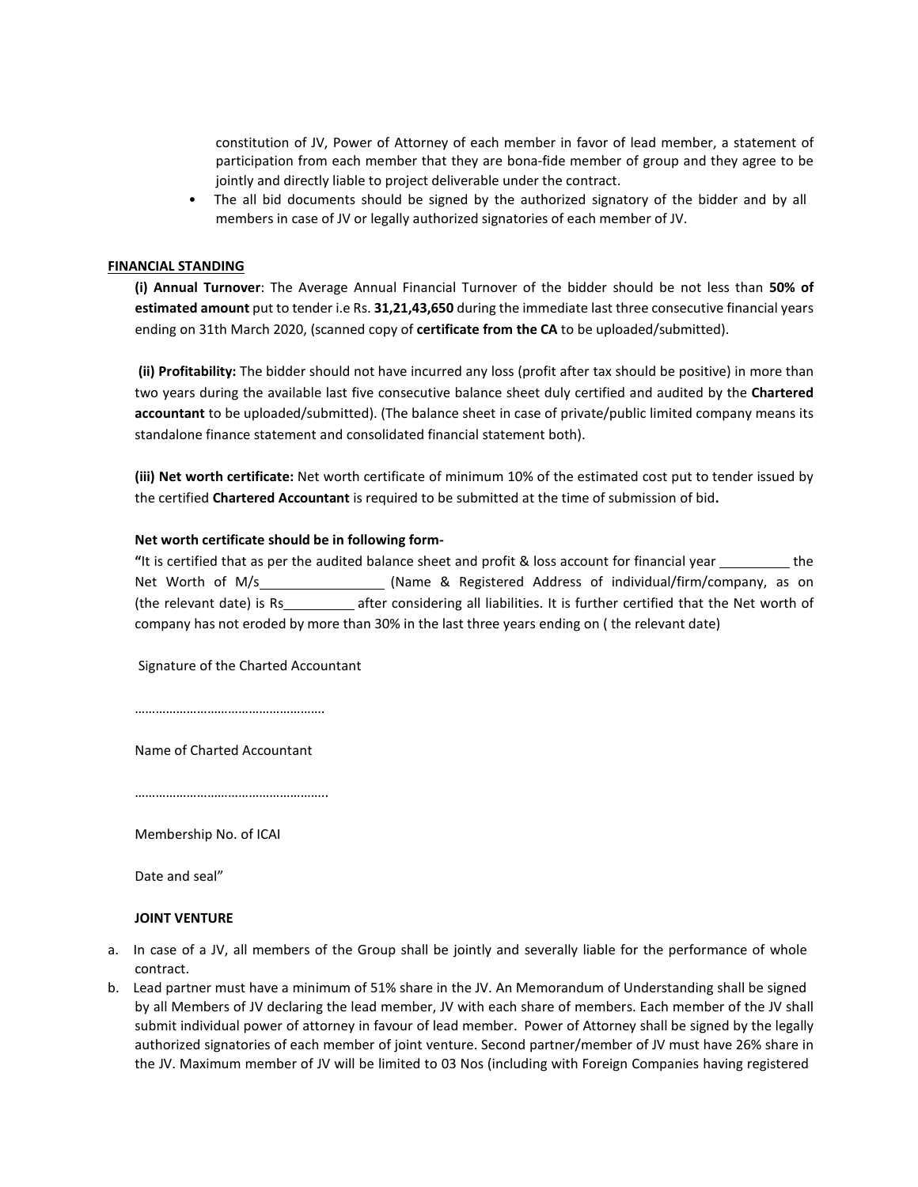constitution of JV, Power of Attorney of each member in favor of lead member, a statement of participation from each member that they are bona-fide member of group and they agree to be jointly and directly liable to project deliverable under the contract.

• The all bid documents should be signed by the authorized signatory of the bidder and by all members in case of JV or legally authorized signatories of each member of JV.

## **FINANCIAL STANDING**

**(i) Annual Turnover**: The Average Annual Financial Turnover of the bidder should be not less than **50% of estimated amount** put to tender i.e Rs. **31,21,43,650** during the immediate last three consecutive financial years ending on 31th March 2020, (scanned copy of **certificate from the CA** to be uploaded/submitted).

**(ii) Profitability:** The bidder should not have incurred any loss (profit after tax should be positive) in more than two years during the available last five consecutive balance sheet duly certified and audited by the **Chartered accountant** to be uploaded/submitted). (The balance sheet in case of private/public limited company means its standalone finance statement and consolidated financial statement both).

**(iii) Net worth certificate:** Net worth certificate of minimum 10% of the estimated cost put to tender issued by the certified **Chartered Accountant** is required to be submitted at the time of submission of bid**.**

## **Net worth certificate should be in following form-**

**"**It is certified that as per the audited balance sheet and profit & loss account for financial year the Net Worth of M/s (Name & Registered Address of individual/firm/company, as on (the relevant date) is Rs after considering all liabilities. It is further certified that the Net worth of company has not eroded by more than 30% in the last three years ending on ( the relevant date)

Signature of the Charted Accountant

Name of Charted Accountant

……………………………………………………

………………………………………………..

Membership No. of ICAI

Date and seal"

## **JOINT VENTURE**

- a. In case of a JV, all members of the Group shall be jointly and severally liable for the performance of whole contract.
- b. Lead partner must have a minimum of 51% share in the JV. An Memorandum of Understanding shall be signed by all Members of JV declaring the lead member, JV with each share of members. Each member of the JV shall submit individual power of attorney in favour of lead member. Power of Attorney shall be signed by the legally authorized signatories of each member of joint venture. Second partner/member of JV must have 26% share in the JV. Maximum member of JV will be limited to 03 Nos (including with Foreign Companies having registered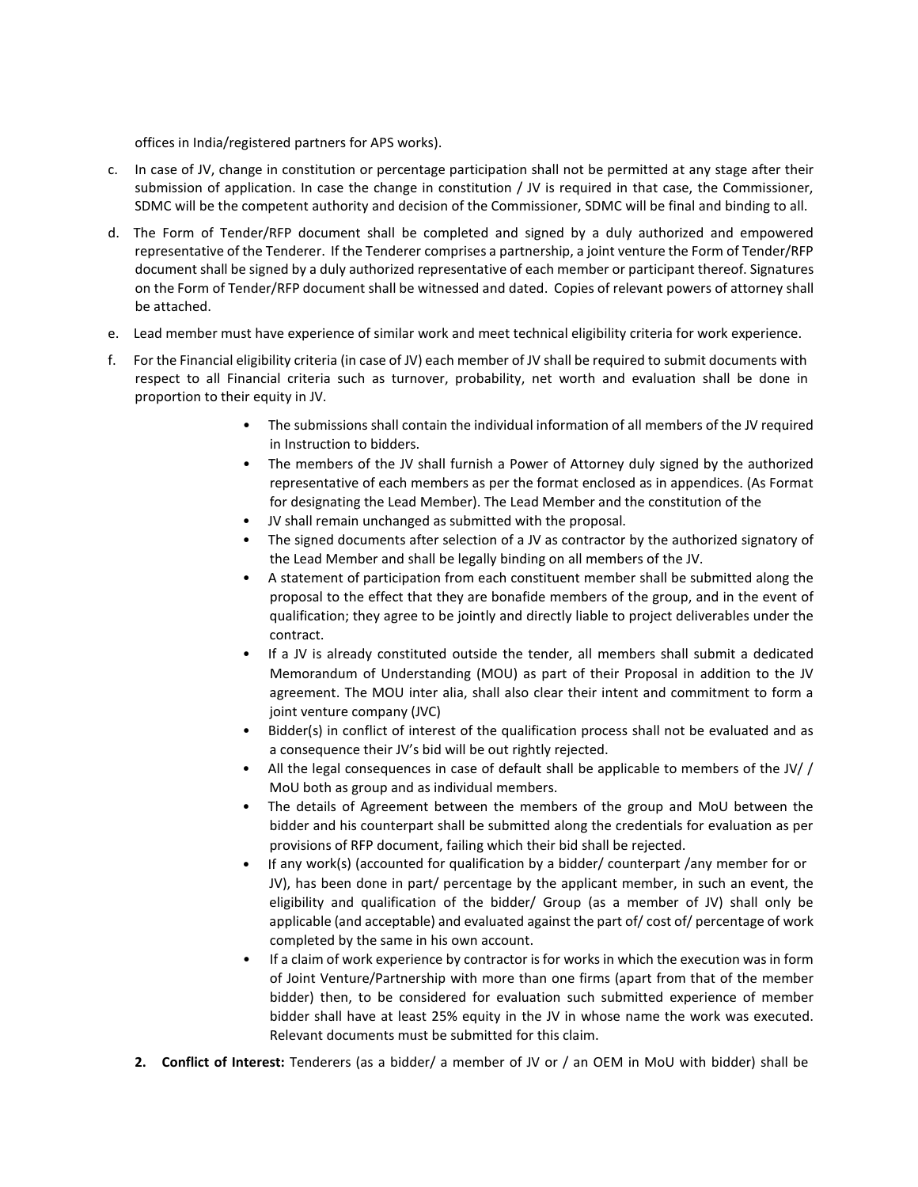offices in India/registered partners for APS works).

- c. In case of JV, change in constitution or percentage participation shall not be permitted at any stage after their submission of application. In case the change in constitution / JV is required in that case, the Commissioner, SDMC will be the competent authority and decision of the Commissioner, SDMC will be final and binding to all.
- d. The Form of Tender/RFP document shall be completed and signed by a duly authorized and empowered representative of the Tenderer. If the Tenderer comprises a partnership, a joint venture the Form of Tender/RFP document shall be signed by a duly authorized representative of each member or participant thereof. Signatures on the Form of Tender/RFP document shall be witnessed and dated. Copies of relevant powers of attorney shall be attached.
- e. Lead member must have experience of similar work and meet technical eligibility criteria for work experience.
- f. For the Financial eligibility criteria (in case of JV) each member of JV shall be required to submit documents with respect to all Financial criteria such as turnover, probability, net worth and evaluation shall be done in proportion to their equity in JV.
	- The submissions shall contain the individual information of all members of the JV required in Instruction to bidders.
	- The members of the JV shall furnish a Power of Attorney duly signed by the authorized representative of each members as per the format enclosed as in appendices. (As Format for designating the Lead Member). The Lead Member and the constitution of the
	- JV shall remain unchanged as submitted with the proposal.
	- The signed documents after selection of a JV as contractor by the authorized signatory of the Lead Member and shall be legally binding on all members of the JV.
	- A statement of participation from each constituent member shall be submitted along the proposal to the effect that they are bonafide members of the group, and in the event of qualification; they agree to be jointly and directly liable to project deliverables under the contract.
	- If a JV is already constituted outside the tender, all members shall submit a dedicated Memorandum of Understanding (MOU) as part of their Proposal in addition to the JV agreement. The MOU inter alia, shall also clear their intent and commitment to form a joint venture company (JVC)
	- Bidder(s) in conflict of interest of the qualification process shall not be evaluated and as a consequence their JV's bid will be out rightly rejected.
	- All the legal consequences in case of default shall be applicable to members of the JV/ / MoU both as group and as individual members.
	- The details of Agreement between the members of the group and MoU between the bidder and his counterpart shall be submitted along the credentials for evaluation as per provisions of RFP document, failing which their bid shall be rejected.
	- If any work(s) (accounted for qualification by a bidder/ counterpart /any member for or JV), has been done in part/ percentage by the applicant member, in such an event, the eligibility and qualification of the bidder/ Group (as a member of JV) shall only be applicable (and acceptable) and evaluated against the part of/ cost of/ percentage of work completed by the same in his own account.
	- If a claim of work experience by contractor is for works in which the execution was in form of Joint Venture/Partnership with more than one firms (apart from that of the member bidder) then, to be considered for evaluation such submitted experience of member bidder shall have at least 25% equity in the JV in whose name the work was executed. Relevant documents must be submitted for this claim.
	- **2. Conflict of Interest:** Tenderers (as a bidder/ a member of JV or / an OEM in MoU with bidder) shall be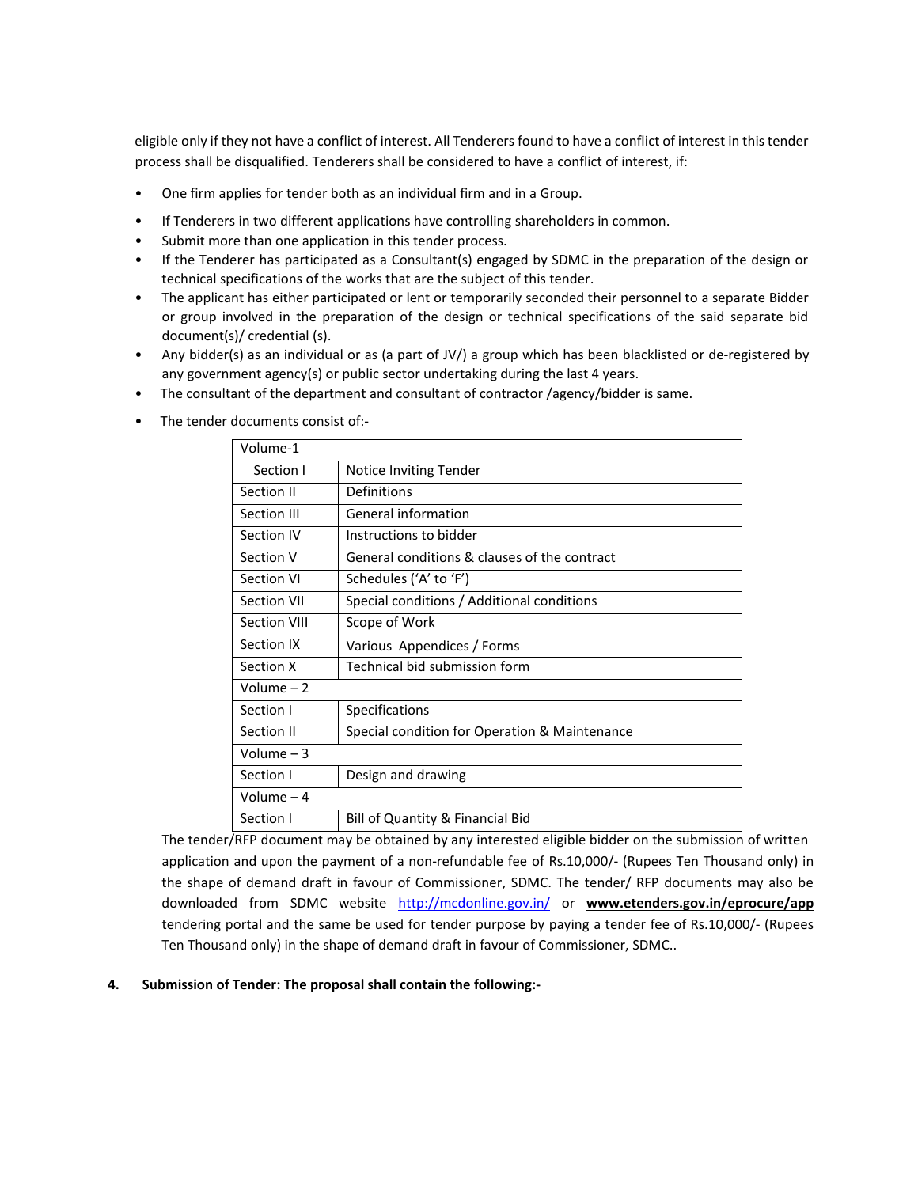eligible only if they not have a conflict of interest. All Tenderers found to have a conflict of interest in thistender process shall be disqualified. Tenderers shall be considered to have a conflict of interest, if:

- One firm applies for tender both as an individual firm and in a Group.
- If Tenderers in two different applications have controlling shareholders in common.
- Submit more than one application in this tender process.
- If the Tenderer has participated as a Consultant(s) engaged by SDMC in the preparation of the design or technical specifications of the works that are the subject of this tender.
- The applicant has either participated or lent or temporarily seconded their personnel to a separate Bidder or group involved in the preparation of the design or technical specifications of the said separate bid document(s)/ credential (s).
- Any bidder(s) as an individual or as (a part of JV/) a group which has been blacklisted or de-registered by any government agency(s) or public sector undertaking during the last 4 years.
- The consultant of the department and consultant of contractor /agency/bidder is same.
- The tender documents consist of:-

| Volume-1           |                                               |
|--------------------|-----------------------------------------------|
| Section I          | <b>Notice Inviting Tender</b>                 |
| Section II         | Definitions                                   |
| Section III        | General information                           |
| Section IV         | Instructions to bidder                        |
| Section V          | General conditions & clauses of the contract  |
| Section VI         | Schedules ('A' to 'F')                        |
| <b>Section VII</b> | Special conditions / Additional conditions    |
| Section VIII       | Scope of Work                                 |
| Section IX         | Various Appendices / Forms                    |
| Section X          | Technical bid submission form                 |
| Volume $-2$        |                                               |
| Section I          | Specifications                                |
| Section II         | Special condition for Operation & Maintenance |
| Volume $-3$        |                                               |
| Section I          | Design and drawing                            |
| Volume – 4         |                                               |
| Section I          | <b>Bill of Quantity &amp; Financial Bid</b>   |

The tender/RFP document may be obtained by any interested eligible bidder on the submission of written application and upon the payment of a non-refundable fee of Rs.10,000/- (Rupees Ten Thousand only) in the shape of demand draft in favour of Commissioner, SDMC. The tender/ RFP documents may also be downloaded from SDMC website [http://mcdonline.gov.in/ o](http://mcdonline.gov.in/)r **[www.etenders.gov.in/eprocure/app](http://www.etenders.gov.in/eprocure/app)** tendering portal and the same be used for tender purpose by paying a tender fee of Rs.10,000/- (Rupees Ten Thousand only) in the shape of demand draft in favour of Commissioner, SDMC..

# **4. Submission of Tender: The proposal shall contain the following:-**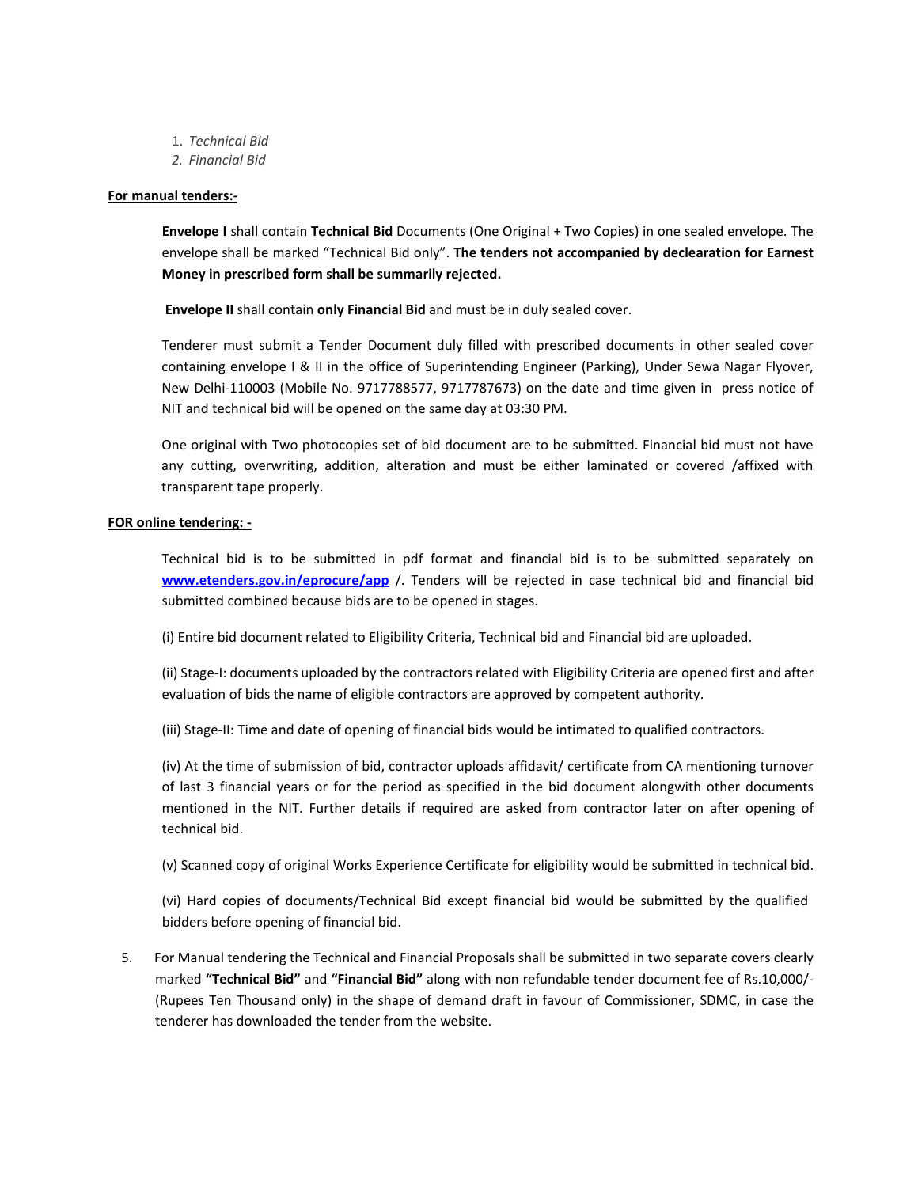- 1. *Technical Bid*
- *2. Financial Bid*

## **For manual tenders:-**

**Envelope I** shall contain **Technical Bid** Documents (One Original + Two Copies) in one sealed envelope. The envelope shall be marked "Technical Bid only". **The tenders not accompanied by declearation for Earnest Money in prescribed form shall be summarily rejected.**

**Envelope II** shall contain **only Financial Bid** and must be in duly sealed cover.

Tenderer must submit a Tender Document duly filled with prescribed documents in other sealed cover containing envelope I & II in the office of Superintending Engineer (Parking), Under Sewa Nagar Flyover, New Delhi-110003 (Mobile No. 9717788577, 9717787673) on the date and time given in press notice of NIT and technical bid will be opened on the same day at 03:30 PM.

One original with Two photocopies set of bid document are to be submitted. Financial bid must not have any cutting, overwriting, addition, alteration and must be either laminated or covered /affixed with transparent tape properly.

## **FOR online tendering: -**

Technical bid is to be submitted in pdf format and financial bid is to be submitted separately on **[www.etenders.gov.in/eprocure/app](http://www.etenders.gov.in/eprocure/app)** /. Tenders will be rejected in case technical bid and financial bid submitted combined because bids are to be opened in stages.

(i) Entire bid document related to Eligibility Criteria, Technical bid and Financial bid are uploaded.

(ii) Stage-I: documents uploaded by the contractors related with Eligibility Criteria are opened first and after evaluation of bids the name of eligible contractors are approved by competent authority.

(iii) Stage-II: Time and date of opening of financial bids would be intimated to qualified contractors.

(iv) At the time of submission of bid, contractor uploads affidavit/ certificate from CA mentioning turnover of last 3 financial years or for the period as specified in the bid document alongwith other documents mentioned in the NIT. Further details if required are asked from contractor later on after opening of technical bid.

(v) Scanned copy of original Works Experience Certificate for eligibility would be submitted in technical bid.

(vi) Hard copies of documents/Technical Bid except financial bid would be submitted by the qualified bidders before opening of financial bid.

5. For Manual tendering the Technical and Financial Proposals shall be submitted in two separate covers clearly marked **"Technical Bid"** and **"Financial Bid"** along with non refundable tender document fee of Rs.10,000/- (Rupees Ten Thousand only) in the shape of demand draft in favour of Commissioner, SDMC, in case the tenderer has downloaded the tender from the website.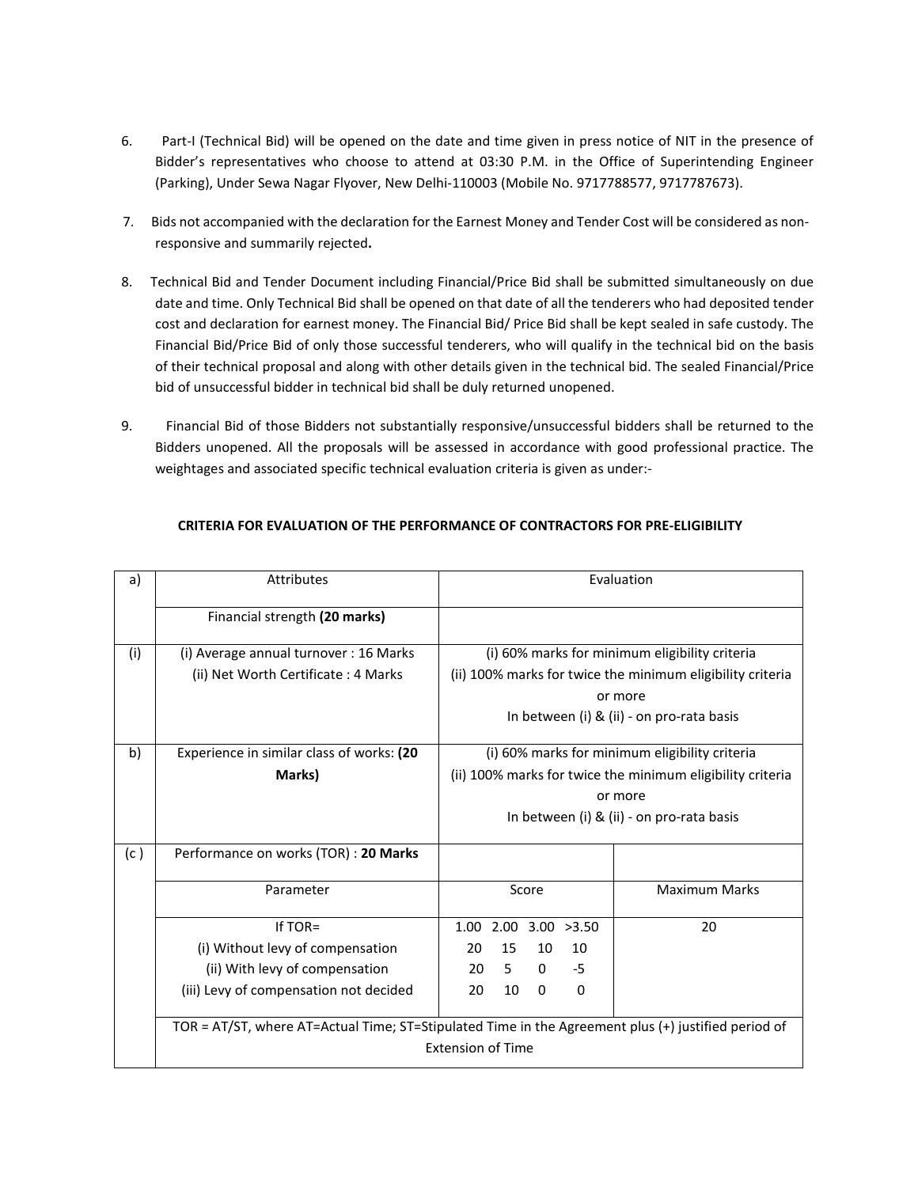- 6. Part-I (Technical Bid) will be opened on the date and time given in press notice of NIT in the presence of Bidder's representatives who choose to attend at 03:30 P.M. in the Office of Superintending Engineer (Parking), Under Sewa Nagar Flyover, New Delhi-110003 (Mobile No. 9717788577, 9717787673).
- 7. Bids not accompanied with the declaration for the Earnest Money and Tender Cost will be considered as nonresponsive and summarily rejected**.**
- 8. Technical Bid and Tender Document including Financial/Price Bid shall be submitted simultaneously on due date and time. Only Technical Bid shall be opened on that date of all the tenderers who had deposited tender cost and declaration for earnest money. The Financial Bid/ Price Bid shall be kept sealed in safe custody. The Financial Bid/Price Bid of only those successful tenderers, who will qualify in the technical bid on the basis of their technical proposal and along with other details given in the technical bid. The sealed Financial/Price bid of unsuccessful bidder in technical bid shall be duly returned unopened.
- 9. Financial Bid of those Bidders not substantially responsive/unsuccessful bidders shall be returned to the Bidders unopened. All the proposals will be assessed in accordance with good professional practice. The weightages and associated specific technical evaluation criteria is given as under:-

| a)  | <b>Attributes</b>                                                                                   | Evaluation                                                 |                                           |  |
|-----|-----------------------------------------------------------------------------------------------------|------------------------------------------------------------|-------------------------------------------|--|
|     | Financial strength (20 marks)                                                                       |                                                            |                                           |  |
| (i) | (i) Average annual turnover : 16 Marks                                                              | (i) 60% marks for minimum eligibility criteria             |                                           |  |
|     | (ii) Net Worth Certificate: 4 Marks                                                                 | (ii) 100% marks for twice the minimum eligibility criteria |                                           |  |
|     |                                                                                                     | or more                                                    |                                           |  |
|     |                                                                                                     |                                                            | In between (i) & (ii) - on pro-rata basis |  |
| b)  | Experience in similar class of works: (20                                                           | (i) 60% marks for minimum eligibility criteria             |                                           |  |
|     | Marks)                                                                                              | (ii) 100% marks for twice the minimum eligibility criteria |                                           |  |
|     |                                                                                                     |                                                            | or more                                   |  |
|     |                                                                                                     | In between (i) & (ii) - on pro-rata basis                  |                                           |  |
| (c) | Performance on works (TOR) : 20 Marks                                                               |                                                            |                                           |  |
|     | Parameter                                                                                           | Score                                                      | <b>Maximum Marks</b>                      |  |
|     | If TOR=                                                                                             | 3.00 > 3.50<br>2.00<br>1.00                                | 20                                        |  |
|     | (i) Without levy of compensation                                                                    | 15<br>10<br>10<br>20                                       |                                           |  |
|     | (ii) With levy of compensation                                                                      | 5<br>$\Omega$<br>$-5$<br>20                                |                                           |  |
|     | (iii) Levy of compensation not decided                                                              | 10<br>20<br>0<br>0                                         |                                           |  |
|     | TOR = AT/ST, where AT=Actual Time; ST=Stipulated Time in the Agreement plus (+) justified period of |                                                            |                                           |  |
|     | <b>Extension of Time</b>                                                                            |                                                            |                                           |  |

# **CRITERIA FOR EVALUATION OF THE PERFORMANCE OF CONTRACTORS FOR PRE-ELIGIBILITY**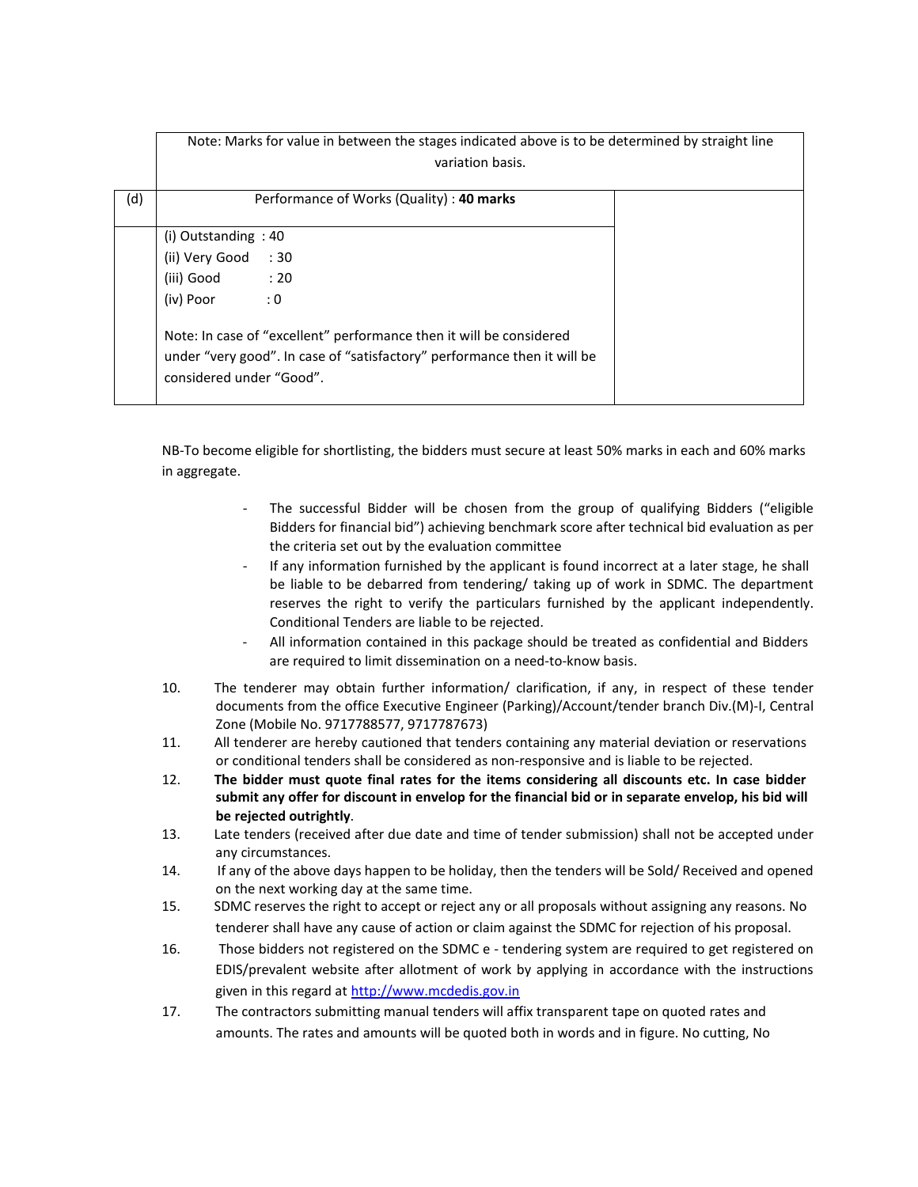|     | Note: Marks for value in between the stages indicated above is to be determined by straight line                                                                            |  |
|-----|-----------------------------------------------------------------------------------------------------------------------------------------------------------------------------|--|
|     | variation basis.                                                                                                                                                            |  |
| (d) | Performance of Works (Quality) : 40 marks                                                                                                                                   |  |
|     | (i) Outstanding $: 40$                                                                                                                                                      |  |
|     | (ii) Very Good<br>:30                                                                                                                                                       |  |
|     | (iii) Good : 20                                                                                                                                                             |  |
|     | $\therefore$ 0<br>(iv) Poor                                                                                                                                                 |  |
|     | Note: In case of "excellent" performance then it will be considered<br>under "very good". In case of "satisfactory" performance then it will be<br>considered under "Good". |  |

NB-To become eligible for shortlisting, the bidders must secure at least 50% marks in each and 60% marks in aggregate.

- The successful Bidder will be chosen from the group of qualifying Bidders ("eligible Bidders for financial bid") achieving benchmark score after technical bid evaluation as per the criteria set out by the evaluation committee
- If any information furnished by the applicant is found incorrect at a later stage, he shall be liable to be debarred from tendering/ taking up of work in SDMC. The department reserves the right to verify the particulars furnished by the applicant independently. Conditional Tenders are liable to be rejected.
- All information contained in this package should be treated as confidential and Bidders are required to limit dissemination on a need-to-know basis.
- 10. The tenderer may obtain further information/ clarification, if any, in respect of these tender documents from the office Executive Engineer (Parking)/Account/tender branch Div.(M)-I, Central Zone (Mobile No. 9717788577, 9717787673)
- 11. All tenderer are hereby cautioned that tenders containing any material deviation or reservations or conditional tenders shall be considered as non-responsive and is liable to be rejected.
- 12. **The bidder must quote final rates for the items considering all discounts etc. In case bidder submit any offer for discount in envelop for the financial bid or in separate envelop, his bid will be rejected outrightly**.
- 13. Late tenders (received after due date and time of tender submission) shall not be accepted under any circumstances.
- 14. If any of the above days happen to be holiday, then the tenders will be Sold/ Received and opened on the next working day at the same time.
- 15. SDMC reserves the right to accept or reject any or all proposals without assigning any reasons. No tenderer shall have any cause of action or claim against the SDMC for rejection of his proposal.
- 16. Those bidders not registered on the SDMC e tendering system are required to get registered on EDIS/prevalent website after allotment of work by applying in accordance with the instructions given in this regard at [http://www.mcdedis.gov.in](http://www.mcdedis.gov.in/)
- 17. The contractors submitting manual tenders will affix transparent tape on quoted rates and amounts. The rates and amounts will be quoted both in words and in figure. No cutting, No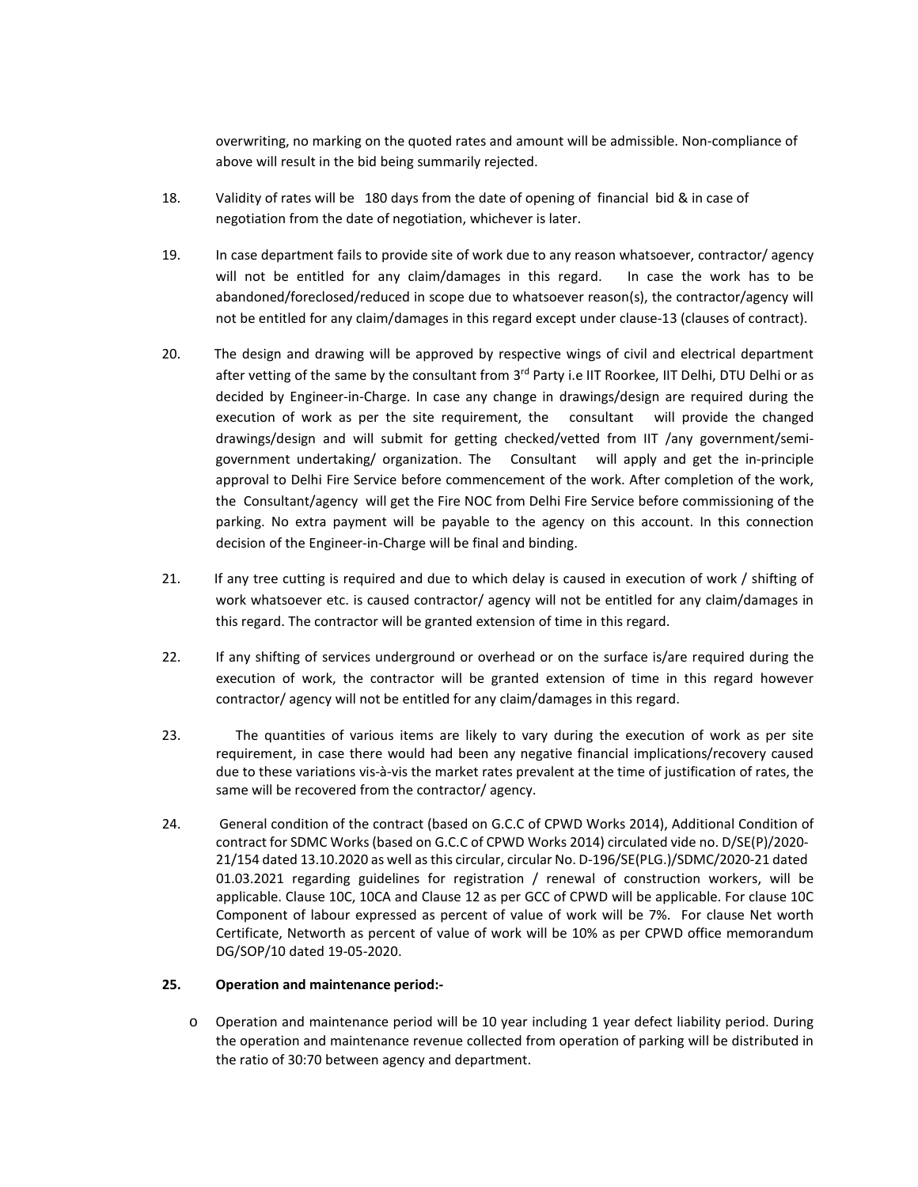overwriting, no marking on the quoted rates and amount will be admissible. Non-compliance of above will result in the bid being summarily rejected.

- 18. Validity of rates will be 180 days from the date of opening of financial bid & in case of negotiation from the date of negotiation, whichever is later.
- 19. In case department fails to provide site of work due to any reason whatsoever, contractor/ agency will not be entitled for any claim/damages in this regard. In case the work has to be abandoned/foreclosed/reduced in scope due to whatsoever reason(s), the contractor/agency will not be entitled for any claim/damages in this regard except under clause-13 (clauses of contract).
- 20. The design and drawing will be approved by respective wings of civil and electrical department after vetting of the same by the consultant from 3<sup>rd</sup> Party i.e IIT Roorkee, IIT Delhi, DTU Delhi or as decided by Engineer-in-Charge. In case any change in drawings/design are required during the execution of work as per the site requirement, the consultant will provide the changed drawings/design and will submit for getting checked/vetted from IIT /any government/semigovernment undertaking/ organization. The Consultant will apply and get the in-principle approval to Delhi Fire Service before commencement of the work. After completion of the work, the Consultant/agency will get the Fire NOC from Delhi Fire Service before commissioning of the parking. No extra payment will be payable to the agency on this account. In this connection decision of the Engineer-in-Charge will be final and binding.
- 21. If any tree cutting is required and due to which delay is caused in execution of work / shifting of work whatsoever etc. is caused contractor/ agency will not be entitled for any claim/damages in this regard. The contractor will be granted extension of time in this regard.
- 22. If any shifting of services underground or overhead or on the surface is/are required during the execution of work, the contractor will be granted extension of time in this regard however contractor/ agency will not be entitled for any claim/damages in this regard.
- 23. The quantities of various items are likely to vary during the execution of work as per site requirement, in case there would had been any negative financial implications/recovery caused due to these variations vis-à-vis the market rates prevalent at the time of justification of rates, the same will be recovered from the contractor/ agency.
- 24. General condition of the contract (based on G.C.C of CPWD Works 2014), Additional Condition of contract for SDMC Works (based on G.C.C of CPWD Works 2014) circulated vide no. D/SE(P)/2020- 21/154 dated 13.10.2020 as well asthis circular, circular No. D-196/SE(PLG.)/SDMC/2020-21 dated 01.03.2021 regarding guidelines for registration / renewal of construction workers, will be applicable. Clause 10C, 10CA and Clause 12 as per GCC of CPWD will be applicable. For clause 10C Component of labour expressed as percent of value of work will be 7%. For clause Net worth Certificate, Networth as percent of value of work will be 10% as per CPWD office memorandum DG/SOP/10 dated 19-05-2020.

# **25. Operation and maintenance period:-**

o Operation and maintenance period will be 10 year including 1 year defect liability period. During the operation and maintenance revenue collected from operation of parking will be distributed in the ratio of 30:70 between agency and department.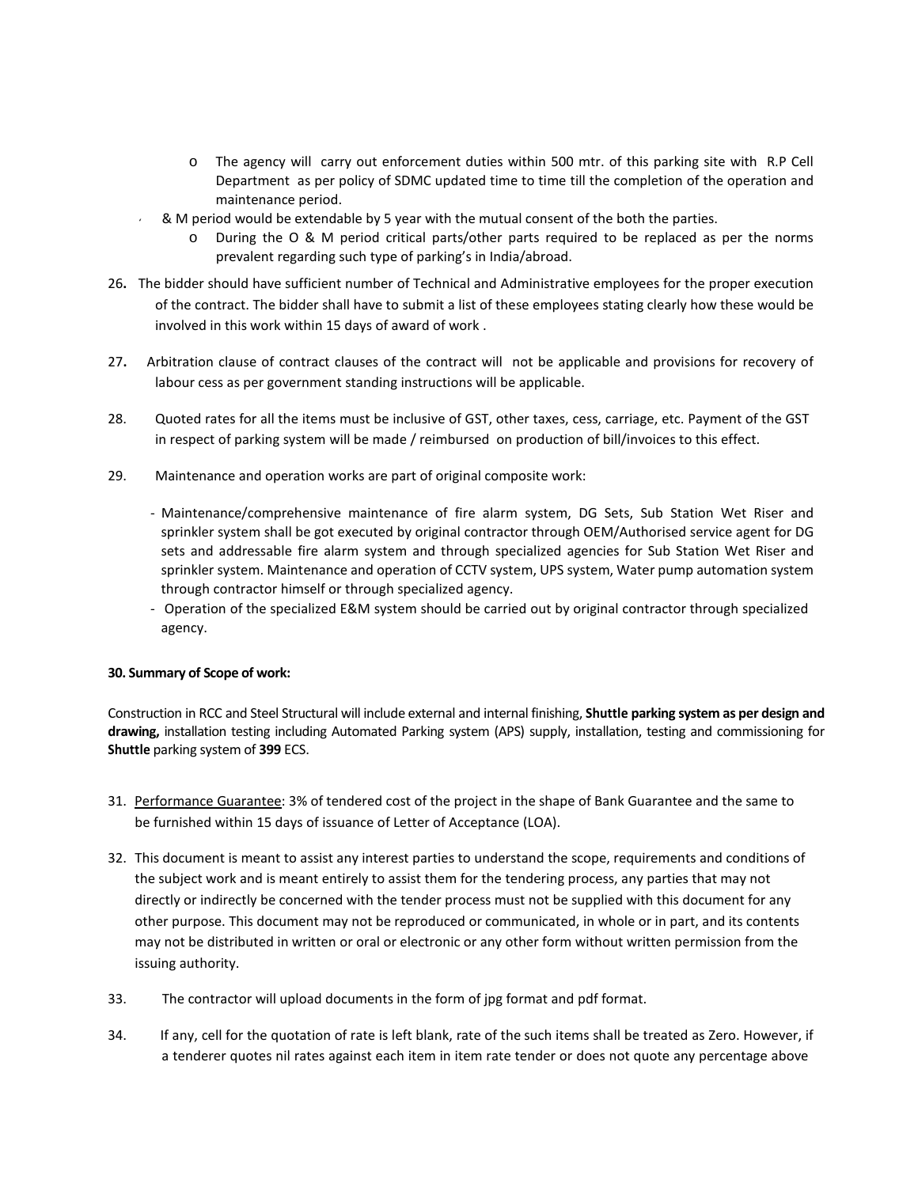- o The agency will carry out enforcement duties within 500 mtr. of this parking site with R.P Cell Department as per policy of SDMC updated time to time till the completion of the operation and maintenance period.
- $\&$  M period would be extendable by 5 year with the mutual consent of the both the parties.
	- o During the O & M period critical parts/other parts required to be replaced as per the norms prevalent regarding such type of parking's in India/abroad.
- 26**.** The bidder should have sufficient number of Technical and Administrative employees for the proper execution of the contract. The bidder shall have to submit a list of these employees stating clearly how these would be involved in this work within 15 days of award of work .
- 27**.** Arbitration clause of contract clauses of the contract will not be applicable and provisions for recovery of labour cess as per government standing instructions will be applicable.
- 28. Quoted rates for all the items must be inclusive of GST, other taxes, cess, carriage, etc. Payment of the GST in respect of parking system will be made / reimbursed on production of bill/invoices to this effect.
- 29. Maintenance and operation works are part of original composite work:
	- Maintenance/comprehensive maintenance of fire alarm system, DG Sets, Sub Station Wet Riser and sprinkler system shall be got executed by original contractor through OEM/Authorised service agent for DG sets and addressable fire alarm system and through specialized agencies for Sub Station Wet Riser and sprinkler system. Maintenance and operation of CCTV system, UPS system, Water pump automation system through contractor himself or through specialized agency.
	- Operation of the specialized E&M system should be carried out by original contractor through specialized agency.

## **30. Summary of Scope of work:**

Construction in RCC and Steel Structural will include external and internal finishing, **Shuttle parking system as per design and drawing,** installation testing including Automated Parking system (APS) supply, installation, testing and commissioning for **Shuttle** parking system of **399** ECS.

- 31. Performance Guarantee: 3% of tendered cost of the project in the shape of Bank Guarantee and the same to be furnished within 15 days of issuance of Letter of Acceptance (LOA).
- 32. This document is meant to assist any interest parties to understand the scope, requirements and conditions of the subject work and is meant entirely to assist them for the tendering process, any parties that may not directly or indirectly be concerned with the tender process must not be supplied with this document for any other purpose. This document may not be reproduced or communicated, in whole or in part, and its contents may not be distributed in written or oral or electronic or any other form without written permission from the issuing authority.
- 33. The contractor will upload documents in the form of jpg format and pdf format.
- 34. If any, cell for the quotation of rate is left blank, rate of the such items shall be treated as Zero. However, if a tenderer quotes nil rates against each item in item rate tender or does not quote any percentage above